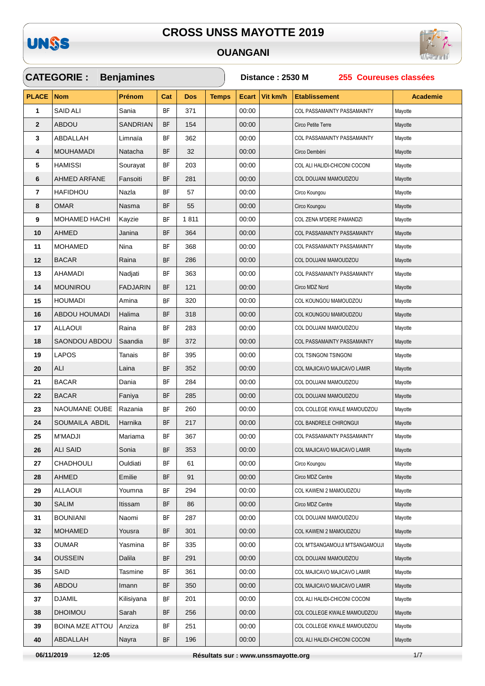

 $\sqrt{2}$ 

### **OUANGANI**

 $\checkmark$ 



|              | <b>CATEGORIE:</b>      | <b>Benjamines</b> |               |            |              | Distance: 2530 M<br>255 Coureuses classées |          |                                    |                 |  |  |
|--------------|------------------------|-------------------|---------------|------------|--------------|--------------------------------------------|----------|------------------------------------|-----------------|--|--|
| <b>PLACE</b> | <b>Nom</b>             | <b>Prénom</b>     | Cat           | <b>Dos</b> | <b>Temps</b> | <b>Ecart</b>                               | Vit km/h | <b>Etablissement</b>               | <b>Academie</b> |  |  |
| 1            | <b>SAID ALI</b>        | Sania             | BF            | 371        |              | 00:00                                      |          | COL PASSAMAINTY PASSAMAINTY        | Mayotte         |  |  |
| $\mathbf{2}$ | <b>ABDOU</b>           | <b>SANDRIAN</b>   | BF            | 154        |              | 00:00                                      |          | Circo Petite Terre                 | Mayotte         |  |  |
| 3            | ABDALLAH               | Limnaïa           | <b>BF</b>     | 362        |              | 00:00                                      |          | COL PASSAMAINTY PASSAMAINTY        | Mayotte         |  |  |
| 4            | <b>MOUHAMADI</b>       | Natacha           | <b>BF</b>     | 32         |              | 00:00                                      |          | Circo Dembéni                      | Mayotte         |  |  |
| 5            | <b>HAMISSI</b>         | Sourayat          | <b>BF</b>     | 203        |              | 00:00                                      |          | COL ALI HALIDI-CHICONI COCONI      | Mayotte         |  |  |
| 6            | <b>AHMED ARFANE</b>    | Fansoiti          | <b>BF</b>     | 281        |              | 00:00                                      |          | COL DOUJANI MAMOUDZOU              | Mayotte         |  |  |
| 7            | HAFIDHOU               | Nazla             | BF            | 57         |              | 00:00                                      |          | Circo Koungou                      | Mayotte         |  |  |
| 8            | <b>OMAR</b>            | Nasma             | <b>BF</b>     | 55         |              | 00:00                                      |          | Circo Koungou                      | Mayotte         |  |  |
| 9            | <b>MOHAMED HACHI</b>   | Kayzie            | <b>BF</b>     | 1811       |              | 00:00                                      |          | COL ZENA M'DERE PAMANDZI           | Mayotte         |  |  |
| 10           | <b>AHMED</b>           | Janina            | <b>BF</b>     | 364        |              | 00:00                                      |          | COL PASSAMAINTY PASSAMAINTY        | Mayotte         |  |  |
| 11           | <b>MOHAMED</b>         | Nina              | <b>BF</b>     | 368        |              | 00:00                                      |          | COL PASSAMAINTY PASSAMAINTY        | Mayotte         |  |  |
| 12           | <b>BACAR</b>           | Raina             | <b>BF</b>     | 286        |              | 00:00                                      |          | COL DOUJANI MAMOUDZOU              | Mayotte         |  |  |
| 13           | AHAMADI                | Nadjati           | <b>BF</b>     | 363        |              | 00:00                                      |          | <b>COL PASSAMAINTY PASSAMAINTY</b> | Mayotte         |  |  |
| 14           | <b>MOUNIROU</b>        | <b>FADJARIN</b>   | <b>BF</b>     | 121        |              | 00:00                                      |          | Circo MDZ Nord                     | Mayotte         |  |  |
| 15           | <b>HOUMADI</b>         | Amina             | <b>BF</b>     | 320        |              | 00:00                                      |          | COL KOUNGOU MAMOUDZOU              | Mayotte         |  |  |
| 16           | ABDOU HOUMADI          | Halima            | BF            | 318        |              | 00:00                                      |          | COL KOUNGOU MAMOUDZOU              | Mayotte         |  |  |
| 17           | <b>ALLAOUI</b>         | Raina             | BF            | 283        |              | 00:00                                      |          | COL DOUJANI MAMOUDZOU              | Mayotte         |  |  |
| 18           | SAONDOU ABDOU          | Saandia           | <b>BF</b>     | 372        |              | 00:00                                      |          | COL PASSAMAINTY PASSAMAINTY        | Mayotte         |  |  |
| 19           | <b>LAPOS</b>           | Tanais            | <b>BF</b>     | 395        |              | 00:00                                      |          | COL TSINGONI TSINGONI              | Mayotte         |  |  |
| 20           | ALI                    | Laina             | <b>BF</b>     | 352        |              | 00:00                                      |          | COL MAJICAVO MAJICAVO LAMIR        | Mayotte         |  |  |
| 21           | <b>BACAR</b>           | Dania             | <b>BF</b>     | 284        |              | 00:00                                      |          | COL DOUJANI MAMOUDZOU              | Mayotte         |  |  |
| 22           | <b>BACAR</b>           | Faniya            | <b>BF</b>     | 285        |              | 00:00                                      |          | COL DOUJANI MAMOUDZOU              | Mayotte         |  |  |
| 23           | NAOUMANE OUBE          | Razania           | <b>BF</b>     | 260        |              | 00:00                                      |          | COL COLLEGE KWALE MAMOUDZOU        | Mayotte         |  |  |
| 24           | SOUMAILA ABDIL         | Harnika           | BF            | 217        |              | 00:00                                      |          | COL BANDRELE CHIRONGUI             | Mayotte         |  |  |
| 25           | <b>M'MADJI</b>         | Mariama           | <b>BF</b>     | 367        |              | 00:00                                      |          | COL PASSAMAINTY PASSAMAINTY        | Mayotte         |  |  |
| 26           | ALI SAID               | Sonia             | <b>BF</b>     | 353        |              | 00:00                                      |          | COL MAJICAVO MAJICAVO LAMIR        | Mayotte         |  |  |
| 27           | <b>CHADHOULI</b>       | Ouldiati          | <b>BF</b>     | 61         |              | 00:00                                      |          | Circo Koungou                      | Mayotte         |  |  |
| 28           | <b>AHMED</b>           | Emilie            | <b>BF</b>     | 91         |              | 00:00                                      |          | Circo MDZ Centre                   | Mayotte         |  |  |
| 29           | ALLAOUI                | Youmna            | <b>BF</b>     | 294        |              | 00:00                                      |          | COL KAWENI 2 MAMOUDZOU             | Mayotte         |  |  |
| 30           | <b>SALIM</b>           | Itissam           | BF            | 86         |              | 00:00                                      |          | Circo MDZ Centre                   | Mayotte         |  |  |
| 31           | <b>BOUNIANI</b>        | Naomi             | BF            | 287        |              | 00:00                                      |          | COL DOUJANI MAMOUDZOU              | Mayotte         |  |  |
| 32           | <b>MOHAMED</b>         | Yousra            | $\mathsf{BF}$ | 301        |              | 00:00                                      |          | COL KAWENI 2 MAMOUDZOU             | Mayotte         |  |  |
| 33           | <b>OUMAR</b>           | Yasmina           | BF            | 335        |              | 00:00                                      |          | COL M'TSANGAMOUJI M'TSANGAMOUJI    | Mayotte         |  |  |
| 34           | <b>OUSSEIN</b>         | Dalila            | <b>BF</b>     | 291        |              | 00:00                                      |          | COL DOUJANI MAMOUDZOU              | Mayotte         |  |  |
| 35           | SAID                   | Tasmine           | <b>BF</b>     | 361        |              | 00:00                                      |          | COL MAJICAVO MAJICAVO LAMIR        | Mayotte         |  |  |
| 36           | <b>ABDOU</b>           | Imann             | <b>BF</b>     | 350        |              | 00:00                                      |          | COL MAJICAVO MAJICAVO LAMIR        | Mayotte         |  |  |
| 37           | <b>DJAMIL</b>          | Kilisiyana        | <b>BF</b>     | 201        |              | 00:00                                      |          | COL ALI HALIDI-CHICONI COCONI      | Mayotte         |  |  |
| 38           | <b>DHOIMOU</b>         | Sarah             | BF            | 256        |              | 00:00                                      |          | COL COLLEGE KWALE MAMOUDZOU        | Mayotte         |  |  |
| 39           | <b>BOINA MZE ATTOU</b> | Anziza            | <b>BF</b>     | 251        |              | 00:00                                      |          | COL COLLEGE KWALE MAMOUDZOU        | Mayotte         |  |  |
| 40           | ABDALLAH               | Nayra             | BF            | 196        |              | 00:00                                      |          | COL ALI HALIDI-CHICONI COCONI      | Mayotte         |  |  |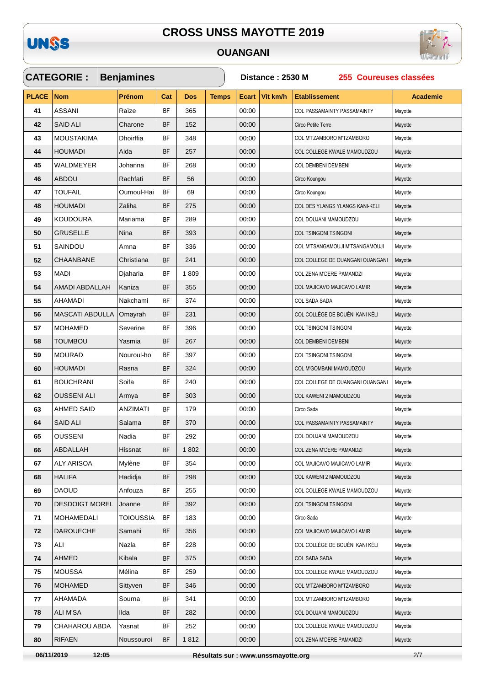

### **OUANGANI**



|              | <b>CATEGORIE:</b>      | <b>Benjamines</b> |           |            |              | Distance: 2530 M<br>255 Coureuses classées |          |                                  |                 |  |  |
|--------------|------------------------|-------------------|-----------|------------|--------------|--------------------------------------------|----------|----------------------------------|-----------------|--|--|
| <b>PLACE</b> | <b>Nom</b>             | Prénom            | Cat       | <b>Dos</b> | <b>Temps</b> | Ecart                                      | Vit km/h | <b>Etablissement</b>             | <b>Academie</b> |  |  |
| 41           | <b>ASSANI</b>          | Raïze             | BF        | 365        |              | 00:00                                      |          | COL PASSAMAINTY PASSAMAINTY      | Mayotte         |  |  |
| 42           | <b>SAID ALI</b>        | Charone           | <b>BF</b> | 152        |              | 00:00                                      |          | Circo Petite Terre               | Mayotte         |  |  |
| 43           | MOUSTAKIMA             | Dhoirffia         | <b>BF</b> | 348        |              | 00:00                                      |          | COL M'TZAMBORO M'TZAMBORO        | Mayotte         |  |  |
| 44           | <b>HOUMADI</b>         | Aida              | BF        | 257        |              | 00:00                                      |          | COL COLLEGE KWALE MAMOUDZOU      | Mayotte         |  |  |
| 45           | WALDMEYER              | Johanna           | <b>BF</b> | 268        |              | 00:00                                      |          | COL DEMBENI DEMBENI              | Mayotte         |  |  |
| 46           | ABDOU                  | Rachfati          | <b>BF</b> | 56         |              | 00:00                                      |          | Circo Koungou                    | Mayotte         |  |  |
| 47           | <b>TOUFAIL</b>         | Oumoul-Hai        | <b>BF</b> | 69         |              | 00:00                                      |          | Circo Koungou                    | Mayotte         |  |  |
| 48           | <b>HOUMADI</b>         | Zaliha            | <b>BF</b> | 275        |              | 00:00                                      |          | COL DES YLANGS YLANGS KANI-KELI  | Mayotte         |  |  |
| 49           | <b>KOUDOURA</b>        | Mariama           | <b>BF</b> | 289        |              | 00:00                                      |          | COL DOUJANI MAMOUDZOU            | Mayotte         |  |  |
| 50           | <b>GRUSELLE</b>        | Nina              | BF        | 393        |              | 00:00                                      |          | COL TSINGONI TSINGONI            | Mayotte         |  |  |
| 51           | SAINDOU                | Amna              | ΒF        | 336        |              | 00:00                                      |          | COL M'TSANGAMOUJI M'TSANGAMOUJI  | Mayotte         |  |  |
| 52           | <b>CHAANBANE</b>       | Christiana        | BF        | 241        |              | 00:00                                      |          | COL COLLEGE DE OUANGANI OUANGANI | Mayotte         |  |  |
| 53           | MADI                   | Djaharia          | BF        | 1809       |              | 00:00                                      |          | COL ZENA M'DERE PAMANDZI         | Mayotte         |  |  |
| 54           | AMADI ABDALLAH         | Kaniza            | <b>BF</b> | 355        |              | 00:00                                      |          | COL MAJICAVO MAJICAVO LAMIR      | Mayotte         |  |  |
| 55           | AHAMADI                | Nakchami          | <b>BF</b> | 374        |              | 00:00                                      |          | COL SADA SADA                    | Mayotte         |  |  |
| 56           | <b>MASCATI ABDULLA</b> | Omayrah           | BF        | 231        |              | 00:00                                      |          | COL COLLÈGE DE BOUÉNI KANI KÉLI  | Mayotte         |  |  |
| 57           | <b>MOHAMED</b>         | Severine          | <b>BF</b> | 396        |              | 00:00                                      |          | COL TSINGONI TSINGONI            | Mayotte         |  |  |
| 58           | <b>TOUMBOU</b>         | Yasmia            | BF        | 267        |              | 00:00                                      |          | <b>COL DEMBENI DEMBENI</b>       | Mayotte         |  |  |
| 59           | <b>MOURAD</b>          | Nouroul-ho        | <b>BF</b> | 397        |              | 00:00                                      |          | COL TSINGONI TSINGONI            | Mayotte         |  |  |
| 60           | <b>HOUMADI</b>         | Rasna             | BF        | 324        |              | 00:00                                      |          | COL M'GOMBANI MAMOUDZOU          | Mayotte         |  |  |
| 61           | <b>BOUCHRANI</b>       | Soifa             | <b>BF</b> | 240        |              | 00:00                                      |          | COL COLLEGE DE OUANGANI OUANGANI | Mayotte         |  |  |
| 62           | <b>OUSSENI ALI</b>     | Armya             | BF        | 303        |              | 00:00                                      |          | COL KAWENI 2 MAMOUDZOU           | Mayotte         |  |  |
| 63           | AHMED SAID             | ANZIMATI          | <b>BF</b> | 179        |              | 00:00                                      |          | Circo Sada                       | Mayotte         |  |  |
| 64           | <b>SAID ALI</b>        | Salama            | BF        | 370        |              | 00:00                                      |          | COL PASSAMAINTY PASSAMAINTY      | Mayotte         |  |  |
| 65           | <b>OUSSENI</b>         | Nadia             | BF        | 292        |              | 00:00                                      |          | COL DOUJANI MAMOUDZOU            | Mayotte         |  |  |
| 66           | ABDALLAH               | Hissnat           | <b>BF</b> | 1802       |              | 00:00                                      |          | COL ZENA M'DERE PAMANDZI         | Mayotte         |  |  |
| 67           | <b>ALY ARISOA</b>      | Mylène            | BF        | 354        |              | 00:00                                      |          | COL MAJICAVO MAJICAVO LAMIR      | Mayotte         |  |  |
| 68           | <b>HALIFA</b>          | Hadidja           | BF        | 298        |              | 00:00                                      |          | COL KAWENI 2 MAMOUDZOU           | Mayotte         |  |  |
| 69           | <b>DAOUD</b>           | Anfouza           | BF        | 255        |              | 00:00                                      |          | COL COLLEGE KWALE MAMOUDZOU      | Mayotte         |  |  |
| 70           | <b>DESDOIGT MOREL</b>  | Joanne            | BF        | 392        |              | 00:00                                      |          | COL TSINGONI TSINGONI            | Mayotte         |  |  |
| 71           | MOHAMEDALI             | TOIOUSSIA         | BF        | 183        |              | 00:00                                      |          | Circo Sada                       | Mayotte         |  |  |
| 72           | <b>DAROUECHE</b>       | Samahi            | BF        | 356        |              | 00:00                                      |          | COL MAJICAVO MAJICAVO LAMIR      | Mayotte         |  |  |
| 73           | ALI                    | Nazla             | BF        | 228        |              | 00:00                                      |          | COL COLLÈGE DE BOUÉNI KANI KÉLI  | Mayotte         |  |  |
| 74           | <b>AHMED</b>           | Kibala            | BF        | 375        |              | 00:00                                      |          | COL SADA SADA                    | Mayotte         |  |  |
| 75           | <b>MOUSSA</b>          | Mélina            | <b>BF</b> | 259        |              | 00:00                                      |          | COL COLLEGE KWALE MAMOUDZOU      | Mayotte         |  |  |
| 76           | <b>MOHAMED</b>         | Sittyven          | ΒF        | 346        |              | 00:00                                      |          | COL M'TZAMBORO M'TZAMBORO        | Mayotte         |  |  |
| 77           | AHAMADA                | Sourna            | BF        | 341        |              | 00:00                                      |          | COL M'TZAMBORO M'TZAMBORO        | Mayotte         |  |  |
| 78           | ALI M'SA               | Ilda              | BF        | 282        |              | 00:00                                      |          | COL DOUJANI MAMOUDZOU            | Mayotte         |  |  |
| 79           | CHAHAROU ABDA          | Yasnat            | BF        | 252        |              | 00:00                                      |          | COL COLLEGE KWALE MAMOUDZOU      | Mayotte         |  |  |
| 80           | <b>RIFAEN</b>          | Noussouroi        | BF        | 1812       |              | 00:00                                      |          | COL ZENA M'DERE PAMANDZI         | Mayotte         |  |  |

06/11/2019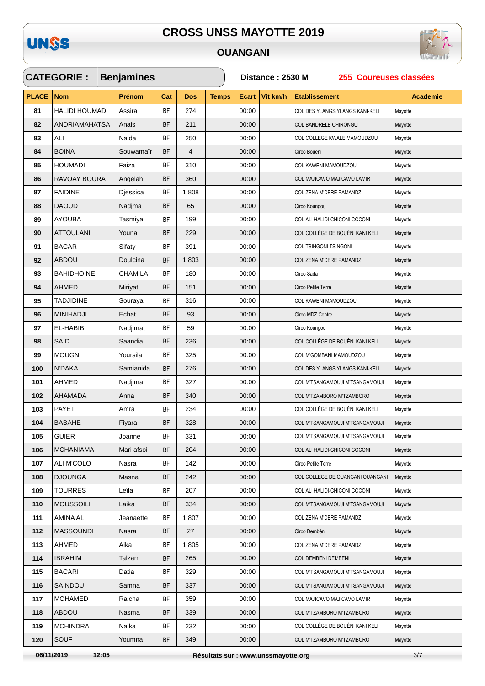

### **OUANGANI**

 $\checkmark$ 



|              | <b>CATEGORIE :</b>    | <b>Benjamines</b> |           |                |              | Distance: 2530 M<br>255 Coureuses classées |          |                                  |                 |  |  |
|--------------|-----------------------|-------------------|-----------|----------------|--------------|--------------------------------------------|----------|----------------------------------|-----------------|--|--|
| <b>PLACE</b> | <b>Nom</b>            | Prénom            | Cat       | <b>Dos</b>     | <b>Temps</b> | <b>Ecart</b>                               | Vit km/h | <b>Etablissement</b>             | <b>Academie</b> |  |  |
| 81           | <b>HALIDI HOUMADI</b> | Assira            | <b>BF</b> | 274            |              | 00:00                                      |          | COL DES YLANGS YLANGS KANI-KELI  | Mayotte         |  |  |
| 82           | <b>ANDRIAMAHATSA</b>  | Anais             | BF        | 211            |              | 00:00                                      |          | <b>COL BANDRELE CHIRONGUI</b>    | Mayotte         |  |  |
| 83           | ALI                   | Naida             | <b>BF</b> | 250            |              | 00:00                                      |          | COL COLLEGE KWALE MAMOUDZOU      | Mayotte         |  |  |
| 84           | <b>BOINA</b>          | Souwamaïr         | <b>BF</b> | $\overline{4}$ |              | 00:00                                      |          | Circo Bouéni                     | Mayotte         |  |  |
| 85           | <b>HOUMADI</b>        | Faiza             | <b>BF</b> | 310            |              | 00:00                                      |          | COL KAWENI MAMOUDZOU             | Mayotte         |  |  |
| 86           | RAVOAY BOURA          | Angelah           | <b>BF</b> | 360            |              | 00:00                                      |          | COL MAJICAVO MAJICAVO LAMIR      | Mayotte         |  |  |
| 87           | <b>FAIDINE</b>        | Diessica          | <b>BF</b> | 1808           |              | 00:00                                      |          | COL ZENA M'DERE PAMANDZI         | Mayotte         |  |  |
| 88           | <b>DAOUD</b>          | Nadjma            | <b>BF</b> | 65             |              | 00:00                                      |          | Circo Koungou                    | Mayotte         |  |  |
| 89           | <b>AYOUBA</b>         | Tasmiya           | <b>BF</b> | 199            |              | 00:00                                      |          | COL ALI HALIDI-CHICONI COCONI    | Mayotte         |  |  |
| 90           | <b>ATTOULANI</b>      | Youna             | <b>BF</b> | 229            |              | 00:00                                      |          | COL COLLÈGE DE BOUÉNI KANI KÉLI  | Mayotte         |  |  |
| 91           | <b>BACAR</b>          | Sifaty            | BF        | 391            |              | 00:00                                      |          | COL TSINGONI TSINGONI            | Mayotte         |  |  |
| 92           | ABDOU                 | Doulcina          | <b>BF</b> | 1803           |              | 00:00                                      |          | COL ZENA M'DERE PAMANDZI         | Mayotte         |  |  |
| 93           | <b>BAHIDHOINE</b>     | <b>CHAMILA</b>    | <b>BF</b> | 180            |              | 00:00                                      |          | Circo Sada                       | Mayotte         |  |  |
| 94           | <b>AHMED</b>          | Miriyati          | <b>BF</b> | 151            |              | 00:00                                      |          | Circo Petite Terre               | Mayotte         |  |  |
| 95           | <b>TADJIDINE</b>      | Souraya           | <b>BF</b> | 316            |              | 00:00                                      |          | COL KAWENI MAMOUDZOU             | Mayotte         |  |  |
| 96           | <b>MINIHADJI</b>      | Echat             | <b>BF</b> | 93             |              | 00:00                                      |          | Circo MDZ Centre                 | Mayotte         |  |  |
| 97           | EL-HABIB              | Nadjimat          | <b>BF</b> | 59             |              | 00:00                                      |          | Circo Koungou                    | Mayotte         |  |  |
| 98           | SAID                  | Saandia           | <b>BF</b> | 236            |              | 00:00                                      |          | COL COLLÈGE DE BOUÉNI KANI KÉLI  | Mayotte         |  |  |
| 99           | <b>MOUGNI</b>         | Yoursila          | BF        | 325            |              | 00:00                                      |          | COL M'GOMBANI MAMOUDZOU          | Mayotte         |  |  |
| 100          | N'DAKA                | Samianida         | <b>BF</b> | 276            |              | 00:00                                      |          | COL DES YLANGS YLANGS KANI-KELI  | Mayotte         |  |  |
| 101          | AHMED                 | Nadjima           | <b>BF</b> | 327            |              | 00:00                                      |          | COL M'TSANGAMOUJI M'TSANGAMOUJI  | Mayotte         |  |  |
| 102          | <b>AHAMADA</b>        | Anna              | <b>BF</b> | 340            |              | 00:00                                      |          | COL M'TZAMBORO M'TZAMBORO        | Mayotte         |  |  |
| 103          | <b>PAYET</b>          | Amra              | <b>BF</b> | 234            |              | 00:00                                      |          | COL COLLÈGE DE BOUÉNI KANI KÉLI  | Mayotte         |  |  |
| 104          | <b>BABAHE</b>         | Fiyara            | <b>BF</b> | 328            |              | 00:00                                      |          | COL M'TSANGAMOUJI M'TSANGAMOUJI  | Mayotte         |  |  |
| 105          | <b>GUIER</b>          | Joanne            | <b>BF</b> | 331            |              | 00:00                                      |          | COL M'TSANGAMOUJI M'TSANGAMOUJI  | Mayotte         |  |  |
| 106          | <b>MCHANIAMA</b>      | Mari afsoi        | <b>BF</b> | 204            |              | 00:00                                      |          | COL ALI HALIDI-CHICONI COCONI    | Mayotte         |  |  |
| 107          | ALI M'COLO            | Nasra             | BF        | 142            |              | 00:00                                      |          | Circo Petite Terre               | Mayotte         |  |  |
| 108          | <b>DJOUNGA</b>        | Masna             | BF        | 242            |              | 00:00                                      |          | COL COLLEGE DE OUANGANI OUANGANI | Mayotte         |  |  |
| 109          | <b>TOURRES</b>        | Leïla             | <b>BF</b> | 207            |              | 00:00                                      |          | COL ALI HALIDI-CHICONI COCONI    | Mayotte         |  |  |
| 110          | <b>MOUSSOILI</b>      | Laika             | BF        | 334            |              | 00:00                                      |          | COL M'TSANGAMOUJI M'TSANGAMOUJI  | Mayotte         |  |  |
| 111          | AMINA ALI             | Jeanaette         | BF        | 1807           |              | 00:00                                      |          | COL ZENA M'DERE PAMANDZI         | Mayotte         |  |  |
| $112$        | <b>MASSOUNDI</b>      | Nasra             | <b>BF</b> | 27             |              | 00:00                                      |          | Circo Dembéni                    | Mayotte         |  |  |
| 113          | AHMED                 | Aika              | <b>BF</b> | 1805           |              | 00:00                                      |          | COL ZENA M'DERE PAMANDZI         | Mayotte         |  |  |
| 114          | <b>IBRAHIM</b>        | Talzam            | <b>BF</b> | 265            |              | 00:00                                      |          | COL DEMBENI DEMBENI              | Mayotte         |  |  |
| 115          | <b>BACARI</b>         | Datia             | BF        | 329            |              | 00:00                                      |          | COL M'TSANGAMOUJI M'TSANGAMOUJI  | Mayotte         |  |  |
| 116          | SAINDOU               | Samna             | <b>BF</b> | 337            |              | 00:00                                      |          | COL M'TSANGAMOUJI M'TSANGAMOUJI  | Mayotte         |  |  |
| 117          | <b>MOHAMED</b>        | Raicha            | BF        | 359            |              | 00:00                                      |          | COL MAJICAVO MAJICAVO LAMIR      | Mayotte         |  |  |
| 118          | ABDOU                 | Nasma             | <b>BF</b> | 339            |              | 00:00                                      |          | COL M'TZAMBORO M'TZAMBORO        | Mayotte         |  |  |
| 119          | <b>MCHINDRA</b>       | Naika             | BF        | 232            |              | 00:00                                      |          | COL COLLÈGE DE BOUÉNI KANI KÉLI  | Mayotte         |  |  |
| 120          | <b>SOUF</b>           | Youmna            | BF        | 349            |              | 00:00                                      |          | COL M'TZAMBORO M'TZAMBORO        | Mayotte         |  |  |

06/11/2019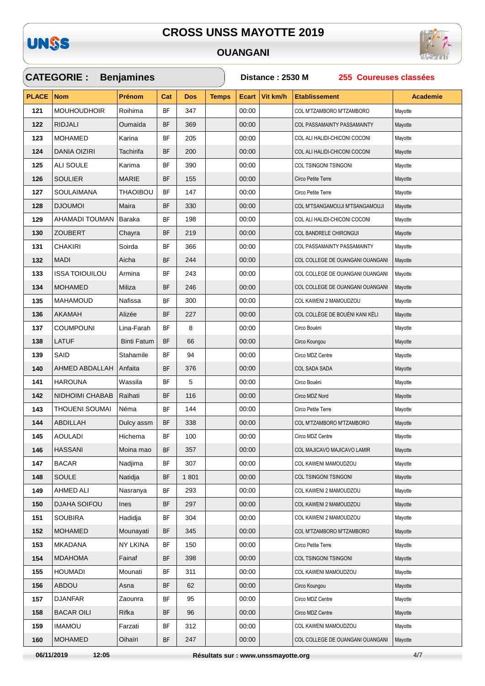

#### **OUANGANI**



|              | <b>CATEGORIE :</b>    | <b>Benjamines</b>  |           |            |              | Distance: 2530 M<br>255 Coureuses classées |          |                                  |                 |  |  |
|--------------|-----------------------|--------------------|-----------|------------|--------------|--------------------------------------------|----------|----------------------------------|-----------------|--|--|
| <b>PLACE</b> | <b>Nom</b>            | Prénom             | Cat       | <b>Dos</b> | <b>Temps</b> | <b>Ecart</b>                               | Vit km/h | <b>Etablissement</b>             | <b>Academie</b> |  |  |
| 121          | <b>MOUHOUDHOIR</b>    | Roihima            | <b>BF</b> | 347        |              | 00:00                                      |          | COL M'TZAMBORO M'TZAMBORO        | Mayotte         |  |  |
| 122          | <b>RIDJALI</b>        | Oumaïda            | <b>BF</b> | 369        |              | 00:00                                      |          | COL PASSAMAINTY PASSAMAINTY      | Mayotte         |  |  |
| 123          | <b>MOHAMED</b>        | Karina             | <b>BF</b> | 205        |              | 00:00                                      |          | COL ALI HALIDI-CHICONI COCONI    | Mayotte         |  |  |
| 124          | DANIA OIZIRI          | Tachirifa          | <b>BF</b> | 200        |              | 00:00                                      |          | COL ALI HALIDI-CHICONI COCONI    | Mayotte         |  |  |
| 125          | ALI SOULE             | Karima             | <b>BF</b> | 390        |              | 00:00                                      |          | COL TSINGONI TSINGONI            | Mayotte         |  |  |
| 126          | SOULIER               | <b>MARIE</b>       | <b>BF</b> | 155        |              | 00:00                                      |          | Circo Petite Terre               | Mayotte         |  |  |
| 127          | SOULAIMANA            | THAOIBOU           | <b>BF</b> | 147        |              | 00:00                                      |          | Circo Petite Terre               | Mayotte         |  |  |
| 128          | <b>IOMUOLO</b>        | Maira              | <b>BF</b> | 330        |              | 00:00                                      |          | COL M'TSANGAMOUJI M'TSANGAMOUJI  | Mayotte         |  |  |
| 129          | AHAMADI TOUMAN        | Baraka             | BF        | 198        |              | 00:00                                      |          | COL ALI HALIDI-CHICONI COCONI    | Mayotte         |  |  |
| 130          | ZOUBERT               | Chayra             | <b>BF</b> | 219        |              | 00:00                                      |          | COL BANDRELE CHIRONGUI           | Mayotte         |  |  |
| 131          | CHAKIRI               | Soirda             | <b>BF</b> | 366        |              | 00:00                                      |          | COL PASSAMAINTY PASSAMAINTY      | Mayotte         |  |  |
| 132          | <b>MADI</b>           | Aicha              | <b>BF</b> | 244        |              | 00:00                                      |          | COL COLLEGE DE OUANGANI OUANGANI | Mayotte         |  |  |
| 133          | <b>ISSA TOIOUILOU</b> | Armina             | <b>BF</b> | 243        |              | 00:00                                      |          | COL COLLEGE DE OUANGANI OUANGANI | Mayotte         |  |  |
| 134          | <b>MOHAMED</b>        | Miliza             | <b>BF</b> | 246        |              | 00:00                                      |          | COL COLLEGE DE OUANGANI OUANGANI | Mayotte         |  |  |
| 135          | <b>MAHAMOUD</b>       | Nafissa            | <b>BF</b> | 300        |              | 00:00                                      |          | COL KAWENI 2 MAMOUDZOU           | Mayotte         |  |  |
| 136          | AKAMAH                | Alizée             | BF        | 227        |              | 00:00                                      |          | COL COLLÈGE DE BOUÉNI KANI KÉLI  | Mayotte         |  |  |
| 137          | COUMPOUNI             | Lina-Farah         | <b>BF</b> | 8          |              | 00:00                                      |          | Circo Bouéni                     | Mayotte         |  |  |
| 138          | <b>LATUF</b>          | <b>Binti Fatum</b> | <b>BF</b> | 66         |              | 00:00                                      |          | Circo Koungou                    | Mayotte         |  |  |
| 139          | SAID                  | Stahamile          | ΒF        | 94         |              | 00:00                                      |          | Circo MDZ Centre                 | Mayotte         |  |  |
| 140          | AHMED ABDALLAH        | Anfaita            | <b>BF</b> | 376        |              | 00:00                                      |          | <b>COL SADA SADA</b>             | Mayotte         |  |  |
| 141          | <b>HAROUNA</b>        | Wassila            | ΒF        | 5          |              | 00:00                                      |          | Circo Bouéni                     | Mayotte         |  |  |
| 142          | NIDHOIMI CHABAB       | Raihati            | <b>BF</b> | 116        |              | 00:00                                      |          | Circo MDZ Nord                   | Mayotte         |  |  |
| 143          | THOUENI SOUMAI        | Néma               | <b>BF</b> | 144        |              | 00:00                                      |          | Circo Petite Terre               | Mayotte         |  |  |
| 144          | ABDILLAH              | Dulcy assm         | <b>BF</b> | 338        |              | 00:00                                      |          | COL M'TZAMBORO M'TZAMBORO        | Mayotte         |  |  |
| 145          | AOULADI               | Hichema            | BF        | 100        |              | 00:00                                      |          | Circo MDZ Centre                 | Mayotte         |  |  |
| 146          | <b>HASSANI</b>        | Moina mao          | <b>BF</b> | 357        |              | 00:00                                      |          | COL MAJICAVO MAJICAVO LAMIR      | Mayotte         |  |  |
| 147          | <b>BACAR</b>          | Nadjima            | BF        | 307        |              | 00:00                                      |          | COL KAWENI MAMOUDZOU             | Mayotte         |  |  |
| 148          | SOULE                 | Natidja            | BF        | 1801       |              | 00:00                                      |          | COL TSINGONI TSINGONI            | Mayotte         |  |  |
| 149          | AHMED ALI             | Nasranya           | ΒF        | 293        |              | 00:00                                      |          | COL KAWENI 2 MAMOUDZOU           | Mayotte         |  |  |
| 150          | DJAHA SOIFOU          | <b>Ines</b>        | BF        | 297        |              | 00:00                                      |          | COL KAWENI 2 MAMOUDZOU           | Mayotte         |  |  |
| 151          | <b>SOUBIRA</b>        | Hadidja            | <b>BF</b> | 304        |              | 00:00                                      |          | COL KAWENI 2 MAMOUDZOU           | Mayotte         |  |  |
| 152          | <b>MOHAMED</b>        | Mounayati          | <b>BF</b> | 345        |              | 00:00                                      |          | COL M'TZAMBORO M'TZAMBORO        | Mayotte         |  |  |
| 153          | <b>MKADANA</b>        | NY LKINA           | <b>BF</b> | 150        |              | 00:00                                      |          | Circo Petite Terre               | Mayotte         |  |  |
| 154          | <b>MDAHOMA</b>        | Fainaf             | <b>BF</b> | 398        |              | 00:00                                      |          | COL TSINGONI TSINGONI            | Mayotte         |  |  |
| 155          | <b>HOUMADI</b>        | Mounati            | ΒF        | 311        |              | 00:00                                      |          | COL KAWENI MAMOUDZOU             | Mayotte         |  |  |
| 156          | <b>ABDOU</b>          | Asna               | BF        | 62         |              | 00:00                                      |          | Circo Koungou                    | Mayotte         |  |  |
| 157          | DJANFAR               | Zaounra            | ΒF        | 95         |              | 00:00                                      |          | Circo MDZ Centre                 | Mayotte         |  |  |
| 158          | <b>BACAR OILI</b>     | Rifka              | BF        | 96         |              | 00:00                                      |          | Circo MDZ Centre                 | Mayotte         |  |  |
| 159          | <b>IMAMOU</b>         | Farzati            | BF        | 312        |              | 00:00                                      |          | COL KAWENI MAMOUDZOU             | Mayotte         |  |  |
| 160          | <b>MOHAMED</b>        | Oihaïri            | BF        | 247        |              | 00:00                                      |          | COL COLLEGE DE OUANGANI OUANGANI | Mayotte         |  |  |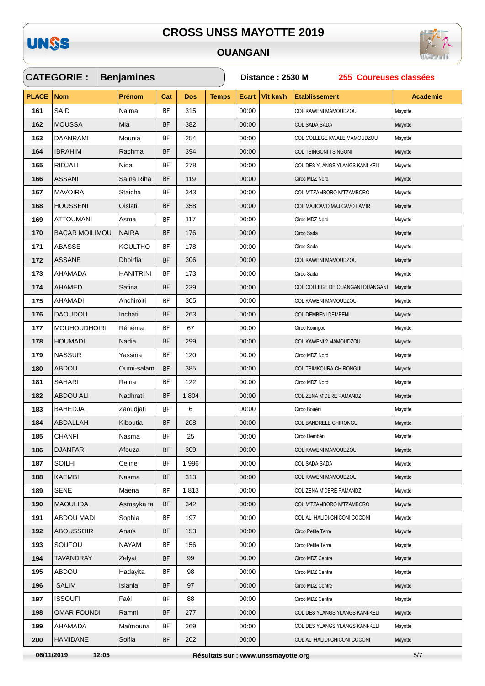

#### **OUANGANI**



|              | <b>CATEGORIE:</b>     | <b>Benjamines</b> |           |            |              | 255 Coureuses classées<br>Distance: 2530 M |          |                                  |                 |  |  |
|--------------|-----------------------|-------------------|-----------|------------|--------------|--------------------------------------------|----------|----------------------------------|-----------------|--|--|
| <b>PLACE</b> | <b>Nom</b>            | Prénom            | Cat       | <b>Dos</b> | <b>Temps</b> | <b>Ecart</b>                               | Vit km/h | <b>Etablissement</b>             | <b>Academie</b> |  |  |
| 161          | SAID                  | Naima             | BF        | 315        |              | 00:00                                      |          | COL KAWENI MAMOUDZOU             | Mayotte         |  |  |
| 162          | <b>MOUSSA</b>         | Mia               | BF        | 382        |              | 00:00                                      |          | <b>COL SADA SADA</b>             | Mayotte         |  |  |
| 163          | DAANRAMI              | Mounia            | BF        | 254        |              | 00:00                                      |          | COL COLLEGE KWALE MAMOUDZOU      | Mayotte         |  |  |
| 164          | <b>IBRAHIM</b>        | Rachma            | BF        | 394        |              | 00:00                                      |          | COL TSINGONI TSINGONI            | Mayotte         |  |  |
| 165          | <b>RIDJALI</b>        | Nida              | BF        | 278        |              | 00:00                                      |          | COL DES YLANGS YLANGS KANI-KELI  | Mayotte         |  |  |
| 166          | ASSANI                | Saïna Riha        | BF        | 119        |              | 00:00                                      |          | Circo MDZ Nord                   | Mayotte         |  |  |
| 167          | <b>MAVOIRA</b>        | Staicha           | ΒF        | 343        |              | 00:00                                      |          | COL M'TZAMBORO M'TZAMBORO        | Mayotte         |  |  |
| 168          | <b>HOUSSENI</b>       | Oislati           | BF        | 358        |              | 00:00                                      |          | COL MAJICAVO MAJICAVO LAMIR      | Mayotte         |  |  |
| 169          | <b>ATTOUMANI</b>      | Asma              | BF        | 117        |              | 00:00                                      |          | Circo MDZ Nord                   | Mayotte         |  |  |
| 170          | <b>BACAR MOILIMOU</b> | <b>NAIRA</b>      | BF        | 176        |              | 00:00                                      |          | Circo Sada                       | Mayotte         |  |  |
| 171          | ABASSE                | <b>KOULTHO</b>    | BF        | 178        |              | 00:00                                      |          | Circo Sada                       | Mayotte         |  |  |
| 172          | <b>ASSANE</b>         | <b>Dhoirfia</b>   | BF        | 306        |              | 00:00                                      |          | COL KAWENI MAMOUDZOU             | Mayotte         |  |  |
| 173          | AHAMADA               | HANITRINI         | BF        | 173        |              | 00:00                                      |          | Circo Sada                       | Mayotte         |  |  |
| 174          | AHAMED                | Safina            | BF        | 239        |              | 00:00                                      |          | COL COLLEGE DE OUANGANI OUANGANI | Mayotte         |  |  |
| 175          | <b>AHAMADI</b>        | Anchiroiti        | BF        | 305        |              | 00:00                                      |          | COL KAWENI MAMOUDZOU             | Mayotte         |  |  |
| 176          | <b>DAOUDOU</b>        | Inchati           | BF        | 263        |              | 00:00                                      |          | <b>COL DEMBENI DEMBENI</b>       | Mayotte         |  |  |
| 177          | <b>MOUHOUDHOIRI</b>   | Réhéma            | BF        | 67         |              | 00:00                                      |          | Circo Koungou                    | Mayotte         |  |  |
| 178          | <b>HOUMADI</b>        | Nadia             | BF        | 299        |              | 00:00                                      |          | COL KAWENI 2 MAMOUDZOU           | Mayotte         |  |  |
| 179          | <b>NASSUR</b>         | Yassina           | BF        | 120        |              | 00:00                                      |          | Circo MDZ Nord                   | Mayotte         |  |  |
| 180          | <b>ABDOU</b>          | Oumi-salam        | BF        | 385        |              | 00:00                                      |          | COL TSIMKOURA CHIRONGUI          | Mayotte         |  |  |
| 181          | SAHARI                | Raina             | BF        | 122        |              | 00:00                                      |          | Circo MDZ Nord                   | Mayotte         |  |  |
| 182          | <b>ABDOU ALI</b>      | Nadhrati          | BF        | 1804       |              | 00:00                                      |          | COL ZENA M'DERE PAMANDZI         | Mayotte         |  |  |
| 183          | <b>BAHEDJA</b>        | Zaoudjati         | BF        | 6          |              | 00:00                                      |          | Circo Bouéni                     | Mayotte         |  |  |
| 184          | ABDALLAH              | Kiboutia          | BF        | 208        |              | 00:00                                      |          | COL BANDRELE CHIRONGUI           | Mayotte         |  |  |
| 185          | <b>CHANFI</b>         | Nasma             | <b>BF</b> | 25         |              | 00:00                                      |          | Circo Dembéni                    | Mayotte         |  |  |
| 186          | <b>DJANFARI</b>       | Afouza            | BF        | 309        |              | 00:00                                      |          | COL KAWENI MAMOUDZOU             | Mayotte         |  |  |
| 187          | <b>SOILHI</b>         | Celine            | BF        | 1996       |              | 00:00                                      |          | COL SADA SADA                    | Mayotte         |  |  |
| 188          | <b>KAEMBI</b>         | Nasma             | BF        | 313        |              | 00:00                                      |          | COL KAWENI MAMOUDZOU             | Mayotte         |  |  |
| 189          | SENE                  | Maena             | ΒF        | 1813       |              | 00:00                                      |          | COL ZENA M'DERE PAMANDZI         | Mayotte         |  |  |
| 190          | <b>MAOULIDA</b>       | Asmayka ta        | BF        | 342        |              | 00:00                                      |          | COL M'TZAMBORO M'TZAMBORO        | Mayotte         |  |  |
| 191          | <b>ABDOU MADI</b>     | Sophia            | BF        | 197        |              | 00:00                                      |          | COL ALI HALIDI-CHICONI COCONI    | Mayotte         |  |  |
| 192          | <b>ABOUSSOIR</b>      | Anaïs             | BF        | 153        |              | 00:00                                      |          | Circo Petite Terre               | Mayotte         |  |  |
| 193          | SOUFOU                | <b>NAYAM</b>      | BF        | 156        |              | 00:00                                      |          | Circo Petite Terre               | Mayotte         |  |  |
| 194          | TAVANDRAY             | Zelyat            | BF        | 99         |              | 00:00                                      |          | Circo MDZ Centre                 | Mayotte         |  |  |
| 195          | <b>ABDOU</b>          | Hadayita          | BF        | 98         |              | 00:00                                      |          | Circo MDZ Centre                 | Mayotte         |  |  |
| 196          | <b>SALIM</b>          | Islania           | BF        | 97         |              | 00:00                                      |          | Circo MDZ Centre                 | Mayotte         |  |  |
| 197          | <b>ISSOUFI</b>        | Faél              | ΒF        | 88         |              | 00:00                                      |          | Circo MDZ Centre                 | Mayotte         |  |  |
| 198          | <b>OMAR FOUNDI</b>    | Ramni             | BF        | 277        |              | 00:00                                      |          | COL DES YLANGS YLANGS KANI-KELI  | Mayotte         |  |  |
| 199          | AHAMADA               | Maïmouna          | BF        | 269        |              | 00:00                                      |          | COL DES YLANGS YLANGS KANI-KELI  | Mayotte         |  |  |
| 200          | <b>HAMIDANE</b>       | Soifia            | BF        | 202        |              | 00:00                                      |          | COL ALI HALIDI-CHICONI COCONI    | Mayotte         |  |  |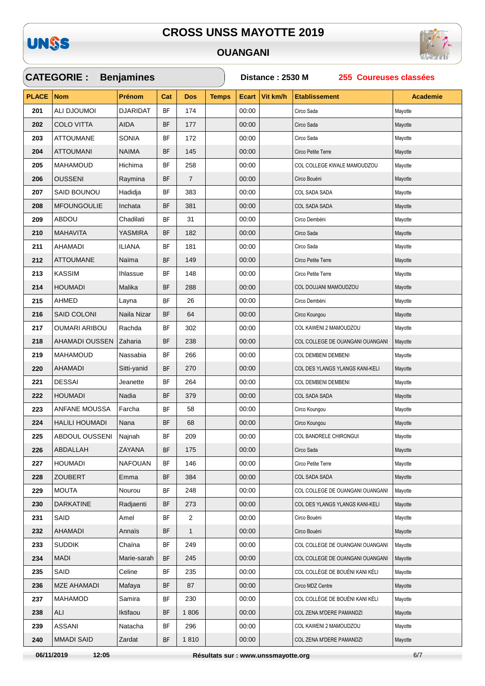

### **OUANGANI**

 $\checkmark$ 



|              | <b>CATEGORIE:</b>     | <b>Benjamines</b> |           |                |              | Distance: 2530 M<br>255 Coureuses classées |          |                                  |                 |  |  |
|--------------|-----------------------|-------------------|-----------|----------------|--------------|--------------------------------------------|----------|----------------------------------|-----------------|--|--|
| <b>PLACE</b> | <b>Nom</b>            | Prénom            | Cat       | <b>Dos</b>     | <b>Temps</b> | Ecart                                      | Vit km/h | <b>Etablissement</b>             | <b>Academie</b> |  |  |
| 201          | ALI DJOUMOI           | <b>DJARIDAT</b>   | BF        | 174            |              | 00:00                                      |          | Circo Sada                       | Mayotte         |  |  |
| 202          | <b>COLO VITTA</b>     | AIDA              | <b>BF</b> | 177            |              | 00:00                                      |          | Circo Sada                       | Mayotte         |  |  |
| 203          | <b>ATTOUMANE</b>      | SONIA             | BF        | 172            |              | 00:00                                      |          | Circo Sada                       | Mayotte         |  |  |
| 204          | <b>ATTOUMANI</b>      | <b>NAIMA</b>      | BF        | 145            |              | 00:00                                      |          | Circo Petite Terre               | Mayotte         |  |  |
| 205          | <b>MAHAMOUD</b>       | Hichima           | <b>BF</b> | 258            |              | 00:00                                      |          | COL COLLEGE KWALE MAMOUDZOU      | Mayotte         |  |  |
| 206          | <b>OUSSENI</b>        | Raymina           | BF        | $\overline{7}$ |              | 00:00                                      |          | Circo Bouéni                     | Mayotte         |  |  |
| 207          | <b>SAID BOUNOU</b>    | Hadidja           | ΒF        | 383            |              | 00:00                                      |          | COL SADA SADA                    | Mayotte         |  |  |
| 208          | <b>MFOUNGOULIE</b>    | Inchata           | <b>BF</b> | 381            |              | 00:00                                      |          | COL SADA SADA                    | Mayotte         |  |  |
| 209          | <b>ABDOU</b>          | Chadilati         | <b>BF</b> | 31             |              | 00:00                                      |          | Circo Dembéni                    | Mayotte         |  |  |
| 210          | <b>MAHAVITA</b>       | <b>YASMIRA</b>    | <b>BF</b> | 182            |              | 00:00                                      |          | Circo Sada                       | Mayotte         |  |  |
| 211          | AHAMADI               | <b>ILIANA</b>     | <b>BF</b> | 181            |              | 00:00                                      |          | Circo Sada                       | Mayotte         |  |  |
| 212          | <b>ATTOUMANE</b>      | Naïma             | <b>BF</b> | 149            |              | 00:00                                      |          | Circo Petite Terre               | Mayotte         |  |  |
| 213          | <b>KASSIM</b>         | Ihlassue          | <b>BF</b> | 148            |              | 00:00                                      |          | Circo Petite Terre               | Mayotte         |  |  |
| 214          | <b>HOUMADI</b>        | Malika            | BF        | 288            |              | 00:00                                      |          | COL DOUJANI MAMOUDZOU            | Mayotte         |  |  |
| 215          | AHMED                 | Layna             | <b>BF</b> | 26             |              | 00:00                                      |          | Circo Dembéni                    | Mayotte         |  |  |
| 216          | <b>SAID COLONI</b>    | Naila Nizar       | BF        | 64             |              | 00:00                                      |          | Circo Koungou                    | Mayotte         |  |  |
| 217          | <b>OUMARI ARIBOU</b>  | Rachda            | <b>BF</b> | 302            |              | 00:00                                      |          | COL KAWENI 2 MAMOUDZOU           | Mayotte         |  |  |
| 218          | AHAMADI OUSSEN        | Zaharia           | <b>BF</b> | 238            |              | 00:00                                      |          | COL COLLEGE DE OUANGANI OUANGANI | Mayotte         |  |  |
| 219          | MAHAMOUD              | Nassabia          | <b>BF</b> | 266            |              | 00:00                                      |          | COL DEMBENI DEMBENI              | Mayotte         |  |  |
| 220          | AHAMADI               | Sitti-yanid       | <b>BF</b> | 270            |              | 00:00                                      |          | COL DES YLANGS YLANGS KANI-KELI  | Mayotte         |  |  |
| 221          | <b>DESSAI</b>         | Jeanette          | BF        | 264            |              | 00:00                                      |          | COL DEMBENI DEMBENI              | Mayotte         |  |  |
| 222          | <b>HOUMADI</b>        | Nadia             | BF        | 379            |              | 00:00                                      |          | COL SADA SADA                    | Mayotte         |  |  |
| 223          | ANFANE MOUSSA         | Farcha            | <b>BF</b> | 58             |              | 00:00                                      |          | Circo Koungou                    | Mayotte         |  |  |
| 224          | <b>HALILI HOUMADI</b> | Nana              | ΒF        | 68             |              | 00:00                                      |          | Circo Koungou                    | Mayotte         |  |  |
| 225          | ABDOUL OUSSENI        | Najnah            | <b>BF</b> | 209            |              | 00:00                                      |          | COL BANDRELE CHIRONGUI           | Mayotte         |  |  |
| 226          | ABDALLAH              | ZAYANA            | BF        | 175            |              | 00:00                                      |          | Circo Sada                       | Mayotte         |  |  |
| 227          | HOUMADI               | <b>NAFOUAN</b>    | <b>BF</b> | 146            |              | 00:00                                      |          | Circo Petite Terre               | Mayotte         |  |  |
| 228          | <b>ZOUBERT</b>        | Emma              | <b>BF</b> | 384            |              | 00:00                                      |          | COL SADA SADA                    | Mayotte         |  |  |
| 229          | <b>MOUTA</b>          | Nourou            | ΒF        | 248            |              | 00:00                                      |          | COL COLLEGE DE OUANGANI OUANGANI | Mayotte         |  |  |
| 230          | <b>DARKATINE</b>      | Radjaenti         | BF        | 273            |              | 00:00                                      |          | COL DES YLANGS YLANGS KANI-KELI  | Mayotte         |  |  |
| 231          | SAID                  | Amel              | BF        | $\overline{2}$ |              | 00:00                                      |          | Circo Bouéni                     | Mayotte         |  |  |
| 232          | <b>AHAMADI</b>        | Annaïs            | BF        | $\mathbf{1}$   |              | 00:00                                      |          | Circo Bouéni                     | Mayotte         |  |  |
| 233          | <b>SUDDIK</b>         | Chaïna            | BF        | 249            |              | 00:00                                      |          | COL COLLEGE DE OUANGANI OUANGANI | Mayotte         |  |  |
| 234          | MADI                  | Marie-sarah       | ΒF        | 245            |              | 00:00                                      |          | COL COLLEGE DE OUANGANI OUANGANI | Mayotte         |  |  |
| 235          | SAID                  | Celine            | <b>BF</b> | 235            |              | 00:00                                      |          | COL COLLÈGE DE BOUÉNI KANI KÉLI  | Mayotte         |  |  |
| 236          | <b>MZE AHAMADI</b>    | Mafaya            | <b>BF</b> | 87             |              | 00:00                                      |          | Circo MDZ Centre                 | Mayotte         |  |  |
| 237          | MAHAMOD               | Samira            | BF        | 230            |              | 00:00                                      |          | COL COLLÈGE DE BOUÉNI KANI KÉLI  | Mayotte         |  |  |
| 238          | ALI                   | Iktifaou          | BF        | 1806           |              | 00:00                                      |          | COL ZENA M'DERE PAMANDZI         | Mayotte         |  |  |
| 239          | <b>ASSANI</b>         | Natacha           | BF        | 296            |              | 00:00                                      |          | COL KAWENI 2 MAMOUDZOU           | Mayotte         |  |  |
| 240          | <b>MMADI SAID</b>     | Zardat            | BF        | 1810           |              | 00:00                                      |          | COL ZENA M'DERE PAMANDZI         | Mayotte         |  |  |